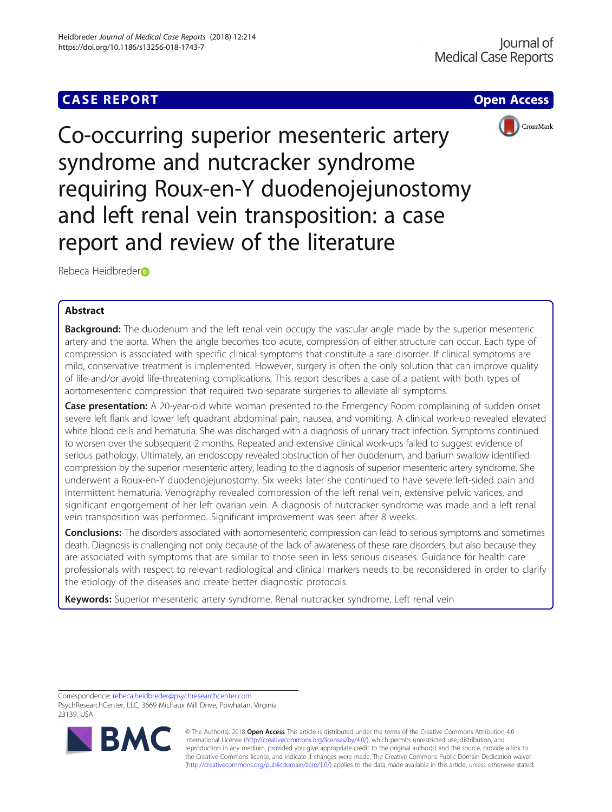

Co-occurring superior mesenteric artery syndrome and nutcracker syndrome requiring Roux-en-Y duodenojejunostomy and left renal vein transposition: a case report and review of the literature

Rebeca Heidbreder

# Abstract

**Background:** The duodenum and the left renal vein occupy the vascular angle made by the superior mesenteric artery and the aorta. When the angle becomes too acute, compression of either structure can occur. Each type of compression is associated with specific clinical symptoms that constitute a rare disorder. If clinical symptoms are mild, conservative treatment is implemented. However, surgery is often the only solution that can improve quality of life and/or avoid life-threatening complications. This report describes a case of a patient with both types of aortomesenteric compression that required two separate surgeries to alleviate all symptoms.

**Case presentation:** A 20-year-old white woman presented to the Emergency Room complaining of sudden onset severe left flank and lower left quadrant abdominal pain, nausea, and vomiting. A clinical work-up revealed elevated white blood cells and hematuria. She was discharged with a diagnosis of urinary tract infection. Symptoms continued to worsen over the subsequent 2 months. Repeated and extensive clinical work-ups failed to suggest evidence of serious pathology. Ultimately, an endoscopy revealed obstruction of her duodenum, and barium swallow identified compression by the superior mesenteric artery, leading to the diagnosis of superior mesenteric artery syndrome. She underwent a Roux-en-Y duodenojejunostomy. Six weeks later she continued to have severe left-sided pain and intermittent hematuria. Venography revealed compression of the left renal vein, extensive pelvic varices, and significant engorgement of her left ovarian vein. A diagnosis of nutcracker syndrome was made and a left renal vein transposition was performed. Significant improvement was seen after 8 weeks.

**Conclusions:** The disorders associated with aortomesenteric compression can lead to serious symptoms and sometimes death. Diagnosis is challenging not only because of the lack of awareness of these rare disorders, but also because they are associated with symptoms that are similar to those seen in less serious diseases. Guidance for health care professionals with respect to relevant radiological and clinical markers needs to be reconsidered in order to clarify the etiology of the diseases and create better diagnostic protocols.

Keywords: Superior mesenteric artery syndrome, Renal nutcracker syndrome, Left renal vein

Correspondence: [rebeca.heidbreder@psychresearchcenter.com](mailto:rebeca.heidbreder@psychresearchcenter.com) PsychResearchCenter, LLC, 3669 Michaux Mill Drive, Powhatan, Virginia 23139, USA



© The Author(s). 2018 Open Access This article is distributed under the terms of the Creative Commons Attribution 4.0 International License [\(http://creativecommons.org/licenses/by/4.0/](http://creativecommons.org/licenses/by/4.0/)), which permits unrestricted use, distribution, and reproduction in any medium, provided you give appropriate credit to the original author(s) and the source, provide a link to the Creative Commons license, and indicate if changes were made. The Creative Commons Public Domain Dedication waiver [\(http://creativecommons.org/publicdomain/zero/1.0/](http://creativecommons.org/publicdomain/zero/1.0/)) applies to the data made available in this article, unless otherwise stated.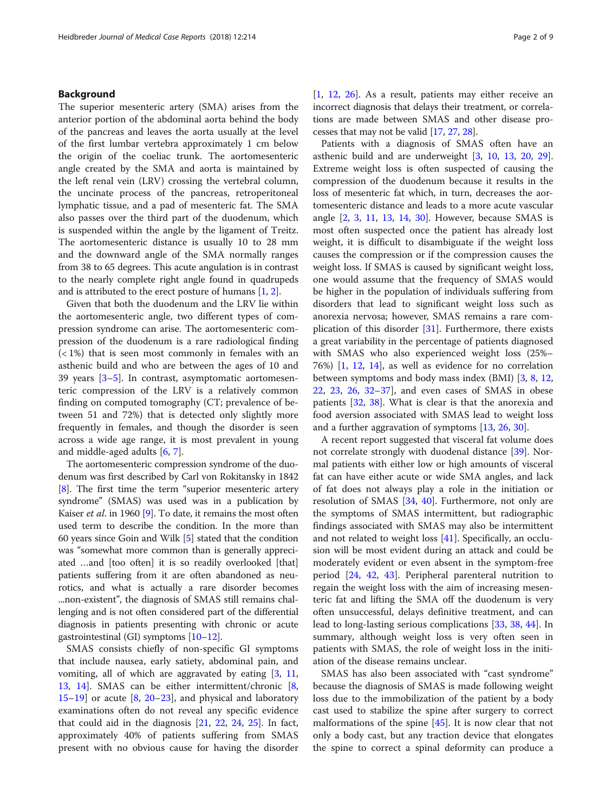# Background

The superior mesenteric artery (SMA) arises from the anterior portion of the abdominal aorta behind the body of the pancreas and leaves the aorta usually at the level of the first lumbar vertebra approximately 1 cm below the origin of the coeliac trunk. The aortomesenteric angle created by the SMA and aorta is maintained by the left renal vein (LRV) crossing the vertebral column, the uncinate process of the pancreas, retroperitoneal lymphatic tissue, and a pad of mesenteric fat. The SMA also passes over the third part of the duodenum, which is suspended within the angle by the ligament of Treitz. The aortomesenteric distance is usually 10 to 28 mm and the downward angle of the SMA normally ranges from 38 to 65 degrees. This acute angulation is in contrast to the nearly complete right angle found in quadrupeds and is attributed to the erect posture of humans [\[1,](#page-6-0) [2](#page-6-0)].

Given that both the duodenum and the LRV lie within the aortomesenteric angle, two different types of compression syndrome can arise. The aortomesenteric compression of the duodenum is a rare radiological finding  $(< 1\%)$  that is seen most commonly in females with an asthenic build and who are between the ages of 10 and 39 years  $[3-5]$  $[3-5]$  $[3-5]$ . In contrast, asymptomatic aortomesenteric compression of the LRV is a relatively common finding on computed tomography (CT; prevalence of between 51 and 72%) that is detected only slightly more frequently in females, and though the disorder is seen across a wide age range, it is most prevalent in young and middle-aged adults [[6,](#page-6-0) [7\]](#page-6-0).

The aortomesenteric compression syndrome of the duodenum was first described by Carl von Rokitansky in 1842 [[8\]](#page-6-0). The first time the term "superior mesenteric artery syndrome" (SMAS) was used was in a publication by Kaiser et al. in 1960 [[9](#page-6-0)]. To date, it remains the most often used term to describe the condition. In the more than 60 years since Goin and Wilk [\[5\]](#page-6-0) stated that the condition was "somewhat more common than is generally appreciated …and [too often] it is so readily overlooked [that] patients suffering from it are often abandoned as neurotics, and what is actually a rare disorder becomes ...non-existent", the diagnosis of SMAS still remains challenging and is not often considered part of the differential diagnosis in patients presenting with chronic or acute gastrointestinal (GI) symptoms [\[10](#page-6-0)–[12](#page-6-0)].

SMAS consists chiefly of non-specific GI symptoms that include nausea, early satiety, abdominal pain, and vomiting, all of which are aggravated by eating [[3,](#page-6-0) [11](#page-6-0), [13,](#page-7-0) [14](#page-7-0)]. SMAS can be either intermittent/chronic [\[8](#page-6-0), [15](#page-7-0)–[19](#page-7-0)] or acute [\[8,](#page-6-0) [20](#page-7-0)–[23](#page-7-0)], and physical and laboratory examinations often do not reveal any specific evidence that could aid in the diagnosis [\[21](#page-7-0), [22](#page-7-0), [24](#page-7-0), [25](#page-7-0)]. In fact, approximately 40% of patients suffering from SMAS present with no obvious cause for having the disorder [[1,](#page-6-0) [12](#page-6-0), [26\]](#page-7-0). As a result, patients may either receive an incorrect diagnosis that delays their treatment, or correlations are made between SMAS and other disease processes that may not be valid [[17](#page-7-0), [27,](#page-7-0) [28\]](#page-7-0).

Patients with a diagnosis of SMAS often have an asthenic build and are underweight [[3,](#page-6-0) [10](#page-6-0), [13](#page-7-0), [20,](#page-7-0) [29](#page-7-0)]. Extreme weight loss is often suspected of causing the compression of the duodenum because it results in the loss of mesenteric fat which, in turn, decreases the aortomesenteric distance and leads to a more acute vascular angle [[2](#page-6-0), [3,](#page-6-0) [11,](#page-6-0) [13,](#page-7-0) [14,](#page-7-0) [30](#page-7-0)]. However, because SMAS is most often suspected once the patient has already lost weight, it is difficult to disambiguate if the weight loss causes the compression or if the compression causes the weight loss. If SMAS is caused by significant weight loss, one would assume that the frequency of SMAS would be higher in the population of individuals suffering from disorders that lead to significant weight loss such as anorexia nervosa; however, SMAS remains a rare complication of this disorder [[31](#page-7-0)]. Furthermore, there exists a great variability in the percentage of patients diagnosed with SMAS who also experienced weight loss (25%– 76%) [[1,](#page-6-0) [12,](#page-6-0) [14](#page-7-0)], as well as evidence for no correlation between symptoms and body mass index (BMI) [\[3](#page-6-0), [8](#page-6-0), [12](#page-6-0), [22,](#page-7-0) [23](#page-7-0), [26,](#page-7-0) [32](#page-7-0)–[37](#page-7-0)], and even cases of SMAS in obese patients [[32,](#page-7-0) [38](#page-7-0)]. What is clear is that the anorexia and food aversion associated with SMAS lead to weight loss and a further aggravation of symptoms [\[13,](#page-7-0) [26,](#page-7-0) [30\]](#page-7-0).

A recent report suggested that visceral fat volume does not correlate strongly with duodenal distance [\[39](#page-7-0)]. Normal patients with either low or high amounts of visceral fat can have either acute or wide SMA angles, and lack of fat does not always play a role in the initiation or resolution of SMAS [[34,](#page-7-0) [40](#page-7-0)]. Furthermore, not only are the symptoms of SMAS intermittent, but radiographic findings associated with SMAS may also be intermittent and not related to weight loss [\[41\]](#page-7-0). Specifically, an occlusion will be most evident during an attack and could be moderately evident or even absent in the symptom-free period [\[24](#page-7-0), [42,](#page-7-0) [43\]](#page-7-0). Peripheral parenteral nutrition to regain the weight loss with the aim of increasing mesenteric fat and lifting the SMA off the duodenum is very often unsuccessful, delays definitive treatment, and can lead to long-lasting serious complications [[33](#page-7-0), [38](#page-7-0), [44\]](#page-7-0). In summary, although weight loss is very often seen in patients with SMAS, the role of weight loss in the initiation of the disease remains unclear.

SMAS has also been associated with "cast syndrome" because the diagnosis of SMAS is made following weight loss due to the immobilization of the patient by a body cast used to stabilize the spine after surgery to correct malformations of the spine [\[45](#page-7-0)]. It is now clear that not only a body cast, but any traction device that elongates the spine to correct a spinal deformity can produce a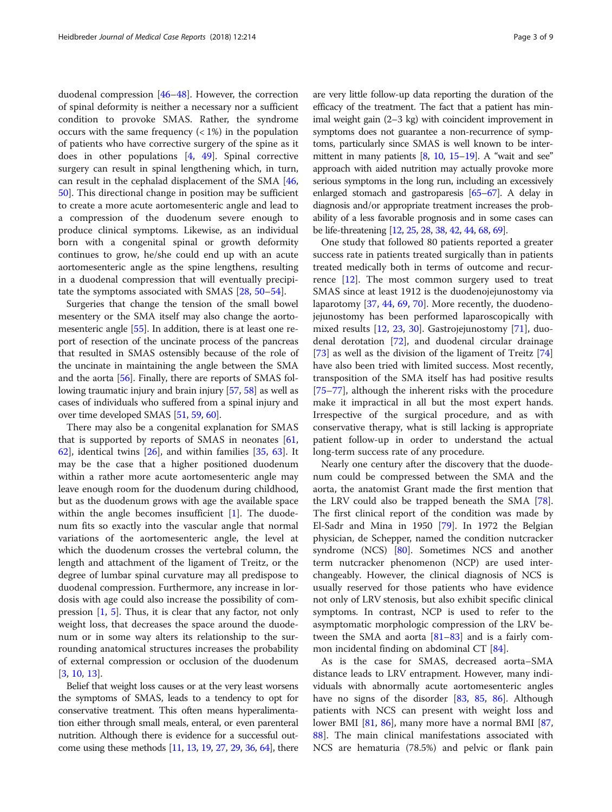duodenal compression [\[46](#page-7-0)–[48\]](#page-7-0). However, the correction of spinal deformity is neither a necessary nor a sufficient condition to provoke SMAS. Rather, the syndrome occurs with the same frequency  $\left($  < 1%) in the population of patients who have corrective surgery of the spine as it does in other populations [[4,](#page-6-0) [49](#page-7-0)]. Spinal corrective surgery can result in spinal lengthening which, in turn, can result in the cephalad displacement of the SMA [[46](#page-7-0), [50\]](#page-7-0). This directional change in position may be sufficient to create a more acute aortomesenteric angle and lead to a compression of the duodenum severe enough to produce clinical symptoms. Likewise, as an individual born with a congenital spinal or growth deformity continues to grow, he/she could end up with an acute aortomesenteric angle as the spine lengthens, resulting in a duodenal compression that will eventually precipitate the symptoms associated with SMAS [[28,](#page-7-0) [50](#page-7-0)–[54](#page-7-0)].

Surgeries that change the tension of the small bowel mesentery or the SMA itself may also change the aortomesenteric angle [\[55\]](#page-7-0). In addition, there is at least one report of resection of the uncinate process of the pancreas that resulted in SMAS ostensibly because of the role of the uncinate in maintaining the angle between the SMA and the aorta [[56](#page-7-0)]. Finally, there are reports of SMAS following traumatic injury and brain injury [\[57,](#page-7-0) [58](#page-7-0)] as well as cases of individuals who suffered from a spinal injury and over time developed SMAS [\[51,](#page-7-0) [59,](#page-7-0) [60](#page-7-0)].

There may also be a congenital explanation for SMAS that is supported by reports of SMAS in neonates  $[61, 61]$  $[61, 61]$  $[61, 61]$ [62\]](#page-7-0), identical twins [\[26\]](#page-7-0), and within families [\[35](#page-7-0), [63\]](#page-8-0). It may be the case that a higher positioned duodenum within a rather more acute aortomesenteric angle may leave enough room for the duodenum during childhood, but as the duodenum grows with age the available space within the angle becomes insufficient  $[1]$  $[1]$ . The duodenum fits so exactly into the vascular angle that normal variations of the aortomesenteric angle, the level at which the duodenum crosses the vertebral column, the length and attachment of the ligament of Treitz, or the degree of lumbar spinal curvature may all predispose to duodenal compression. Furthermore, any increase in lordosis with age could also increase the possibility of compression [\[1](#page-6-0), [5\]](#page-6-0). Thus, it is clear that any factor, not only weight loss, that decreases the space around the duodenum or in some way alters its relationship to the surrounding anatomical structures increases the probability of external compression or occlusion of the duodenum [[3,](#page-6-0) [10,](#page-6-0) [13\]](#page-7-0).

Belief that weight loss causes or at the very least worsens the symptoms of SMAS, leads to a tendency to opt for conservative treatment. This often means hyperalimentation either through small meals, enteral, or even parenteral nutrition. Although there is evidence for a successful outcome using these methods [\[11,](#page-6-0) [13](#page-7-0), [19](#page-7-0), [27,](#page-7-0) [29,](#page-7-0) [36](#page-7-0), [64](#page-8-0)], there are very little follow-up data reporting the duration of the efficacy of the treatment. The fact that a patient has minimal weight gain (2–3 kg) with coincident improvement in symptoms does not guarantee a non-recurrence of symptoms, particularly since SMAS is well known to be intermittent in many patients  $[8, 10, 15-19]$  $[8, 10, 15-19]$  $[8, 10, 15-19]$  $[8, 10, 15-19]$  $[8, 10, 15-19]$  $[8, 10, 15-19]$  $[8, 10, 15-19]$  $[8, 10, 15-19]$ . A "wait and see" approach with aided nutrition may actually provoke more serious symptoms in the long run, including an excessively enlarged stomach and gastroparesis [\[65](#page-8-0)–[67\]](#page-8-0). A delay in diagnosis and/or appropriate treatment increases the probability of a less favorable prognosis and in some cases can be life-threatening [[12](#page-6-0), [25](#page-7-0), [28](#page-7-0), [38](#page-7-0), [42](#page-7-0), [44](#page-7-0), [68](#page-8-0), [69](#page-8-0)].

One study that followed 80 patients reported a greater success rate in patients treated surgically than in patients treated medically both in terms of outcome and recurrence [[12\]](#page-6-0). The most common surgery used to treat SMAS since at least 1912 is the duodenojejunostomy via laparotomy [\[37,](#page-7-0) [44,](#page-7-0) [69,](#page-8-0) [70\]](#page-8-0). More recently, the duodenojejunostomy has been performed laparoscopically with mixed results [[12,](#page-6-0) [23](#page-7-0), [30\]](#page-7-0). Gastrojejunostomy [[71](#page-8-0)], duodenal derotation [\[72\]](#page-8-0), and duodenal circular drainage [[73\]](#page-8-0) as well as the division of the ligament of Treitz [[74](#page-8-0)] have also been tried with limited success. Most recently, transposition of the SMA itself has had positive results [[75](#page-8-0)–[77](#page-8-0)], although the inherent risks with the procedure make it impractical in all but the most expert hands. Irrespective of the surgical procedure, and as with conservative therapy, what is still lacking is appropriate patient follow-up in order to understand the actual long-term success rate of any procedure.

Nearly one century after the discovery that the duodenum could be compressed between the SMA and the aorta, the anatomist Grant made the first mention that the LRV could also be trapped beneath the SMA [\[78](#page-8-0)]. The first clinical report of the condition was made by El-Sadr and Mina in 1950 [[79\]](#page-8-0). In 1972 the Belgian physician, de Schepper, named the condition nutcracker syndrome (NCS) [[80\]](#page-8-0). Sometimes NCS and another term nutcracker phenomenon (NCP) are used interchangeably. However, the clinical diagnosis of NCS is usually reserved for those patients who have evidence not only of LRV stenosis, but also exhibit specific clinical symptoms. In contrast, NCP is used to refer to the asymptomatic morphologic compression of the LRV between the SMA and aorta  $[81-83]$  $[81-83]$  $[81-83]$  and is a fairly common incidental finding on abdominal CT [[84\]](#page-8-0).

As is the case for SMAS, decreased aorta–SMA distance leads to LRV entrapment. However, many individuals with abnormally acute aortomesenteric angles have no signs of the disorder [[83](#page-8-0), [85,](#page-8-0) [86](#page-8-0)]. Although patients with NCS can present with weight loss and lower BMI [\[81](#page-8-0), [86\]](#page-8-0), many more have a normal BMI [[87](#page-8-0), [88\]](#page-8-0). The main clinical manifestations associated with NCS are hematuria (78.5%) and pelvic or flank pain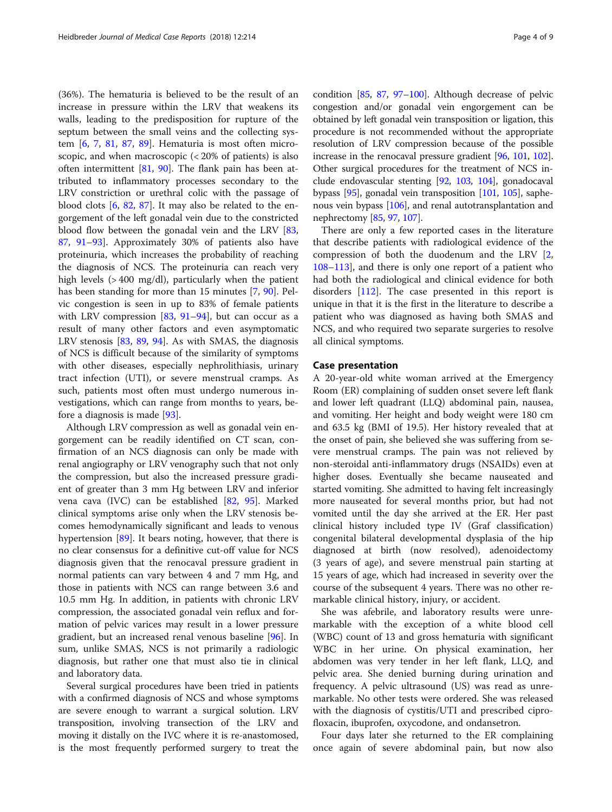(36%). The hematuria is believed to be the result of an increase in pressure within the LRV that weakens its walls, leading to the predisposition for rupture of the septum between the small veins and the collecting system [[6,](#page-6-0) [7](#page-6-0), [81](#page-8-0), [87,](#page-8-0) [89\]](#page-8-0). Hematuria is most often microscopic, and when macroscopic (< 20% of patients) is also often intermittent [\[81,](#page-8-0) [90\]](#page-8-0). The flank pain has been attributed to inflammatory processes secondary to the LRV constriction or urethral colic with the passage of blood clots [\[6](#page-6-0), [82,](#page-8-0) [87](#page-8-0)]. It may also be related to the engorgement of the left gonadal vein due to the constricted blood flow between the gonadal vein and the LRV [[83](#page-8-0), [87,](#page-8-0) [91](#page-8-0)–[93\]](#page-8-0). Approximately 30% of patients also have proteinuria, which increases the probability of reaching the diagnosis of NCS. The proteinuria can reach very high levels (> 400 mg/dl), particularly when the patient has been standing for more than 15 minutes [\[7](#page-6-0), [90](#page-8-0)]. Pelvic congestion is seen in up to 83% of female patients with LRV compression  $[83, 91-94]$  $[83, 91-94]$  $[83, 91-94]$  $[83, 91-94]$  $[83, 91-94]$  $[83, 91-94]$ , but can occur as a result of many other factors and even asymptomatic LRV stenosis [[83,](#page-8-0) [89,](#page-8-0) [94](#page-8-0)]. As with SMAS, the diagnosis of NCS is difficult because of the similarity of symptoms with other diseases, especially nephrolithiasis, urinary tract infection (UTI), or severe menstrual cramps. As such, patients most often must undergo numerous investigations, which can range from months to years, before a diagnosis is made [\[93\]](#page-8-0).

Although LRV compression as well as gonadal vein engorgement can be readily identified on CT scan, confirmation of an NCS diagnosis can only be made with renal angiography or LRV venography such that not only the compression, but also the increased pressure gradient of greater than 3 mm Hg between LRV and inferior vena cava (IVC) can be established [[82,](#page-8-0) [95](#page-8-0)]. Marked clinical symptoms arise only when the LRV stenosis becomes hemodynamically significant and leads to venous hypertension [\[89\]](#page-8-0). It bears noting, however, that there is no clear consensus for a definitive cut-off value for NCS diagnosis given that the renocaval pressure gradient in normal patients can vary between 4 and 7 mm Hg, and those in patients with NCS can range between 3.6 and 10.5 mm Hg. In addition, in patients with chronic LRV compression, the associated gonadal vein reflux and formation of pelvic varices may result in a lower pressure gradient, but an increased renal venous baseline [\[96](#page-8-0)]. In sum, unlike SMAS, NCS is not primarily a radiologic diagnosis, but rather one that must also tie in clinical and laboratory data.

Several surgical procedures have been tried in patients with a confirmed diagnosis of NCS and whose symptoms are severe enough to warrant a surgical solution. LRV transposition, involving transection of the LRV and moving it distally on the IVC where it is re-anastomosed, is the most frequently performed surgery to treat the condition [\[85](#page-8-0), [87](#page-8-0), [97](#page-8-0)–[100\]](#page-8-0). Although decrease of pelvic congestion and/or gonadal vein engorgement can be obtained by left gonadal vein transposition or ligation, this procedure is not recommended without the appropriate resolution of LRV compression because of the possible increase in the renocaval pressure gradient [\[96,](#page-8-0) [101,](#page-8-0) [102](#page-8-0)]. Other surgical procedures for the treatment of NCS include endovascular stenting [\[92](#page-8-0), [103](#page-8-0), [104\]](#page-8-0), gonadocaval bypass [[95](#page-8-0)], gonadal vein transposition [\[101,](#page-8-0) [105\]](#page-8-0), saphenous vein bypass [\[106](#page-8-0)], and renal autotransplantation and nephrectomy [\[85,](#page-8-0) [97](#page-8-0), [107](#page-8-0)].

There are only a few reported cases in the literature that describe patients with radiological evidence of the compression of both the duodenum and the LRV [\[2](#page-6-0), [108](#page-8-0)–[113](#page-8-0)], and there is only one report of a patient who had both the radiological and clinical evidence for both disorders [\[112\]](#page-8-0). The case presented in this report is unique in that it is the first in the literature to describe a patient who was diagnosed as having both SMAS and NCS, and who required two separate surgeries to resolve all clinical symptoms.

# Case presentation

A 20-year-old white woman arrived at the Emergency Room (ER) complaining of sudden onset severe left flank and lower left quadrant (LLQ) abdominal pain, nausea, and vomiting. Her height and body weight were 180 cm and 63.5 kg (BMI of 19.5). Her history revealed that at the onset of pain, she believed she was suffering from severe menstrual cramps. The pain was not relieved by non-steroidal anti-inflammatory drugs (NSAIDs) even at higher doses. Eventually she became nauseated and started vomiting. She admitted to having felt increasingly more nauseated for several months prior, but had not vomited until the day she arrived at the ER. Her past clinical history included type IV (Graf classification) congenital bilateral developmental dysplasia of the hip diagnosed at birth (now resolved), adenoidectomy (3 years of age), and severe menstrual pain starting at 15 years of age, which had increased in severity over the course of the subsequent 4 years. There was no other remarkable clinical history, injury, or accident.

She was afebrile, and laboratory results were unremarkable with the exception of a white blood cell (WBC) count of 13 and gross hematuria with significant WBC in her urine. On physical examination, her abdomen was very tender in her left flank, LLQ, and pelvic area. She denied burning during urination and frequency. A pelvic ultrasound (US) was read as unremarkable. No other tests were ordered. She was released with the diagnosis of cystitis/UTI and prescribed ciprofloxacin, ibuprofen, oxycodone, and ondansetron.

Four days later she returned to the ER complaining once again of severe abdominal pain, but now also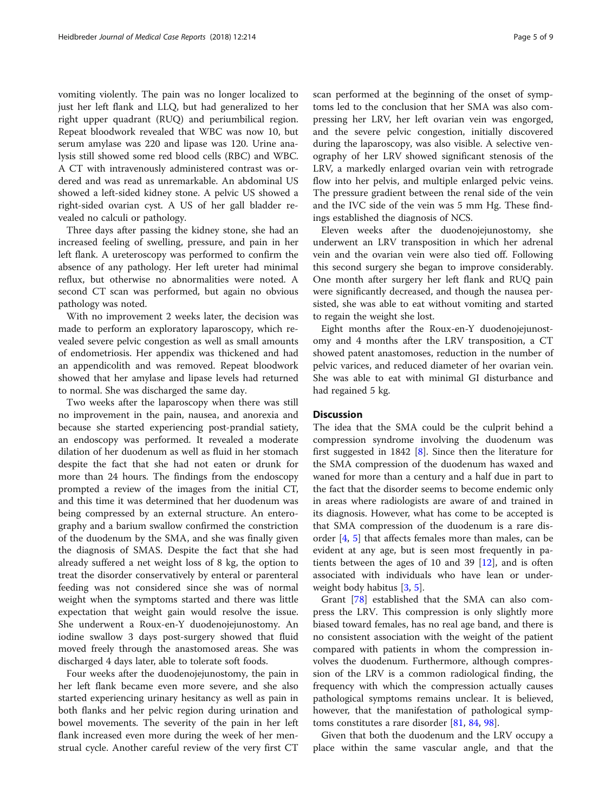vomiting violently. The pain was no longer localized to just her left flank and LLQ, but had generalized to her right upper quadrant (RUQ) and periumbilical region. Repeat bloodwork revealed that WBC was now 10, but serum amylase was 220 and lipase was 120. Urine analysis still showed some red blood cells (RBC) and WBC. A CT with intravenously administered contrast was ordered and was read as unremarkable. An abdominal US showed a left-sided kidney stone. A pelvic US showed a right-sided ovarian cyst. A US of her gall bladder revealed no calculi or pathology.

Three days after passing the kidney stone, she had an increased feeling of swelling, pressure, and pain in her left flank. A ureteroscopy was performed to confirm the absence of any pathology. Her left ureter had minimal reflux, but otherwise no abnormalities were noted. A second CT scan was performed, but again no obvious pathology was noted.

With no improvement 2 weeks later, the decision was made to perform an exploratory laparoscopy, which revealed severe pelvic congestion as well as small amounts of endometriosis. Her appendix was thickened and had an appendicolith and was removed. Repeat bloodwork showed that her amylase and lipase levels had returned to normal. She was discharged the same day.

Two weeks after the laparoscopy when there was still no improvement in the pain, nausea, and anorexia and because she started experiencing post-prandial satiety, an endoscopy was performed. It revealed a moderate dilation of her duodenum as well as fluid in her stomach despite the fact that she had not eaten or drunk for more than 24 hours. The findings from the endoscopy prompted a review of the images from the initial CT, and this time it was determined that her duodenum was being compressed by an external structure. An enterography and a barium swallow confirmed the constriction of the duodenum by the SMA, and she was finally given the diagnosis of SMAS. Despite the fact that she had already suffered a net weight loss of 8 kg, the option to treat the disorder conservatively by enteral or parenteral feeding was not considered since she was of normal weight when the symptoms started and there was little expectation that weight gain would resolve the issue. She underwent a Roux-en-Y duodenojejunostomy. An iodine swallow 3 days post-surgery showed that fluid moved freely through the anastomosed areas. She was discharged 4 days later, able to tolerate soft foods.

Four weeks after the duodenojejunostomy, the pain in her left flank became even more severe, and she also started experiencing urinary hesitancy as well as pain in both flanks and her pelvic region during urination and bowel movements. The severity of the pain in her left flank increased even more during the week of her menstrual cycle. Another careful review of the very first CT scan performed at the beginning of the onset of symp-

toms led to the conclusion that her SMA was also compressing her LRV, her left ovarian vein was engorged, and the severe pelvic congestion, initially discovered during the laparoscopy, was also visible. A selective venography of her LRV showed significant stenosis of the LRV, a markedly enlarged ovarian vein with retrograde flow into her pelvis, and multiple enlarged pelvic veins. The pressure gradient between the renal side of the vein and the IVC side of the vein was 5 mm Hg. These findings established the diagnosis of NCS.

Eleven weeks after the duodenojejunostomy, she underwent an LRV transposition in which her adrenal vein and the ovarian vein were also tied off. Following this second surgery she began to improve considerably. One month after surgery her left flank and RUQ pain were significantly decreased, and though the nausea persisted, she was able to eat without vomiting and started to regain the weight she lost.

Eight months after the Roux-en-Y duodenojejunostomy and 4 months after the LRV transposition, a CT showed patent anastomoses, reduction in the number of pelvic varices, and reduced diameter of her ovarian vein. She was able to eat with minimal GI disturbance and had regained 5 kg.

# **Discussion**

The idea that the SMA could be the culprit behind a compression syndrome involving the duodenum was first suggested in 1842  $[8]$  $[8]$ . Since then the literature for the SMA compression of the duodenum has waxed and waned for more than a century and a half due in part to the fact that the disorder seems to become endemic only in areas where radiologists are aware of and trained in its diagnosis. However, what has come to be accepted is that SMA compression of the duodenum is a rare disorder [\[4](#page-6-0), [5](#page-6-0)] that affects females more than males, can be evident at any age, but is seen most frequently in patients between the ages of 10 and 39  $[12]$ , and is often associated with individuals who have lean or underweight body habitus [\[3,](#page-6-0) [5](#page-6-0)].

Grant [[78\]](#page-8-0) established that the SMA can also compress the LRV. This compression is only slightly more biased toward females, has no real age band, and there is no consistent association with the weight of the patient compared with patients in whom the compression involves the duodenum. Furthermore, although compression of the LRV is a common radiological finding, the frequency with which the compression actually causes pathological symptoms remains unclear. It is believed, however, that the manifestation of pathological symptoms constitutes a rare disorder [\[81](#page-8-0), [84](#page-8-0), [98\]](#page-8-0).

Given that both the duodenum and the LRV occupy a place within the same vascular angle, and that the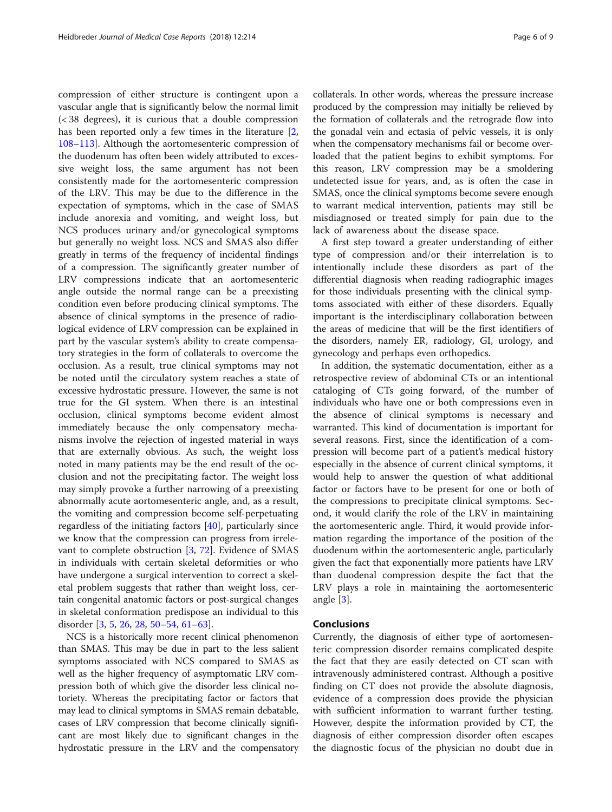compression of either structure is contingent upon a vascular angle that is significantly below the normal limit (< 38 degrees), it is curious that a double compression has been reported only a few times in the literature [[2](#page-6-0), [108](#page-8-0)–[113](#page-8-0)]. Although the aortomesenteric compression of the duodenum has often been widely attributed to excessive weight loss, the same argument has not been consistently made for the aortomesenteric compression of the LRV. This may be due to the difference in the expectation of symptoms, which in the case of SMAS include anorexia and vomiting, and weight loss, but NCS produces urinary and/or gynecological symptoms but generally no weight loss. NCS and SMAS also differ greatly in terms of the frequency of incidental findings of a compression. The significantly greater number of LRV compressions indicate that an aortomesenteric angle outside the normal range can be a preexisting condition even before producing clinical symptoms. The absence of clinical symptoms in the presence of radiological evidence of LRV compression can be explained in part by the vascular system's ability to create compensatory strategies in the form of collaterals to overcome the occlusion. As a result, true clinical symptoms may not be noted until the circulatory system reaches a state of excessive hydrostatic pressure. However, the same is not true for the GI system. When there is an intestinal occlusion, clinical symptoms become evident almost immediately because the only compensatory mechanisms involve the rejection of ingested material in ways that are externally obvious. As such, the weight loss noted in many patients may be the end result of the occlusion and not the precipitating factor. The weight loss may simply provoke a further narrowing of a preexisting abnormally acute aortomesenteric angle, and, as a result, the vomiting and compression become self-perpetuating regardless of the initiating factors [[40\]](#page-7-0), particularly since we know that the compression can progress from irrelevant to complete obstruction [[3,](#page-6-0) [72](#page-8-0)]. Evidence of SMAS in individuals with certain skeletal deformities or who have undergone a surgical intervention to correct a skeletal problem suggests that rather than weight loss, certain congenital anatomic factors or post-surgical changes in skeletal conformation predispose an individual to this disorder [\[3](#page-6-0), [5](#page-6-0), [26](#page-7-0), [28](#page-7-0), [50](#page-7-0)–[54,](#page-7-0) [61](#page-7-0)–[63](#page-8-0)].

NCS is a historically more recent clinical phenomenon than SMAS. This may be due in part to the less salient symptoms associated with NCS compared to SMAS as well as the higher frequency of asymptomatic LRV compression both of which give the disorder less clinical notoriety. Whereas the precipitating factor or factors that may lead to clinical symptoms in SMAS remain debatable, cases of LRV compression that become clinically significant are most likely due to significant changes in the hydrostatic pressure in the LRV and the compensatory

collaterals. In other words, whereas the pressure increase produced by the compression may initially be relieved by the formation of collaterals and the retrograde flow into the gonadal vein and ectasia of pelvic vessels, it is only when the compensatory mechanisms fail or become overloaded that the patient begins to exhibit symptoms. For this reason, LRV compression may be a smoldering undetected issue for years, and, as is often the case in SMAS, once the clinical symptoms become severe enough to warrant medical intervention, patients may still be misdiagnosed or treated simply for pain due to the lack of awareness about the disease space.

A first step toward a greater understanding of either type of compression and/or their interrelation is to intentionally include these disorders as part of the differential diagnosis when reading radiographic images for those individuals presenting with the clinical symptoms associated with either of these disorders. Equally important is the interdisciplinary collaboration between the areas of medicine that will be the first identifiers of the disorders, namely ER, radiology, GI, urology, and gynecology and perhaps even orthopedics.

In addition, the systematic documentation, either as a retrospective review of abdominal CTs or an intentional cataloging of CTs going forward, of the number of individuals who have one or both compressions even in the absence of clinical symptoms is necessary and warranted. This kind of documentation is important for several reasons. First, since the identification of a compression will become part of a patient's medical history especially in the absence of current clinical symptoms, it would help to answer the question of what additional factor or factors have to be present for one or both of the compressions to precipitate clinical symptoms. Second, it would clarify the role of the LRV in maintaining the aortomesenteric angle. Third, it would provide information regarding the importance of the position of the duodenum within the aortomesenteric angle, particularly given the fact that exponentially more patients have LRV than duodenal compression despite the fact that the LRV plays a role in maintaining the aortomesenteric angle [\[3](#page-6-0)].

# Conclusions

Currently, the diagnosis of either type of aortomesenteric compression disorder remains complicated despite the fact that they are easily detected on CT scan with intravenously administered contrast. Although a positive finding on CT does not provide the absolute diagnosis, evidence of a compression does provide the physician with sufficient information to warrant further testing. However, despite the information provided by CT, the diagnosis of either compression disorder often escapes the diagnostic focus of the physician no doubt due in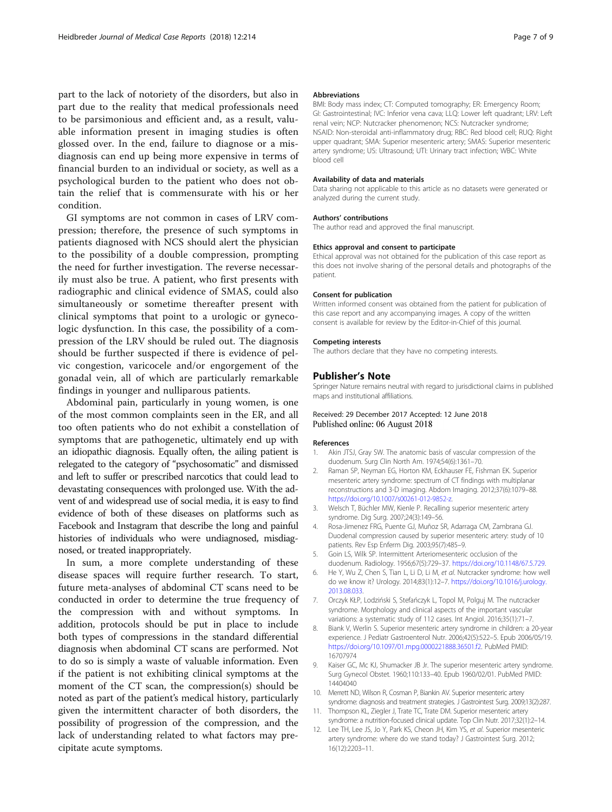<span id="page-6-0"></span>part to the lack of notoriety of the disorders, but also in part due to the reality that medical professionals need to be parsimonious and efficient and, as a result, valuable information present in imaging studies is often glossed over. In the end, failure to diagnose or a misdiagnosis can end up being more expensive in terms of financial burden to an individual or society, as well as a psychological burden to the patient who does not obtain the relief that is commensurate with his or her condition.

GI symptoms are not common in cases of LRV compression; therefore, the presence of such symptoms in patients diagnosed with NCS should alert the physician to the possibility of a double compression, prompting the need for further investigation. The reverse necessarily must also be true. A patient, who first presents with radiographic and clinical evidence of SMAS, could also simultaneously or sometime thereafter present with clinical symptoms that point to a urologic or gynecologic dysfunction. In this case, the possibility of a compression of the LRV should be ruled out. The diagnosis should be further suspected if there is evidence of pelvic congestion, varicocele and/or engorgement of the gonadal vein, all of which are particularly remarkable findings in younger and nulliparous patients.

Abdominal pain, particularly in young women, is one of the most common complaints seen in the ER, and all too often patients who do not exhibit a constellation of symptoms that are pathogenetic, ultimately end up with an idiopathic diagnosis. Equally often, the ailing patient is relegated to the category of "psychosomatic" and dismissed and left to suffer or prescribed narcotics that could lead to devastating consequences with prolonged use. With the advent of and widespread use of social media, it is easy to find evidence of both of these diseases on platforms such as Facebook and Instagram that describe the long and painful histories of individuals who were undiagnosed, misdiagnosed, or treated inappropriately.

In sum, a more complete understanding of these disease spaces will require further research. To start, future meta-analyses of abdominal CT scans need to be conducted in order to determine the true frequency of the compression with and without symptoms. In addition, protocols should be put in place to include both types of compressions in the standard differential diagnosis when abdominal CT scans are performed. Not to do so is simply a waste of valuable information. Even if the patient is not exhibiting clinical symptoms at the moment of the CT scan, the compression(s) should be noted as part of the patient's medical history, particularly given the intermittent character of both disorders, the possibility of progression of the compression, and the lack of understanding related to what factors may precipitate acute symptoms.

#### Abbreviations

BMI: Body mass index; CT: Computed tomography; ER: Emergency Room; GI: Gastrointestinal; IVC: Inferior vena cava; LLQ: Lower left quadrant; LRV: Left renal vein; NCP: Nutcracker phenomenon; NCS: Nutcracker syndrome; NSAID: Non-steroidal anti-inflammatory drug; RBC: Red blood cell; RUQ: Right upper quadrant; SMA: Superior mesenteric artery; SMAS: Superior mesenteric artery syndrome; US: Ultrasound; UTI: Urinary tract infection; WBC: White blood cell

### Availability of data and materials

Data sharing not applicable to this article as no datasets were generated or analyzed during the current study.

#### Authors' contributions

The author read and approved the final manuscript.

#### Ethics approval and consent to participate

Ethical approval was not obtained for the publication of this case report as this does not involve sharing of the personal details and photographs of the patient.

#### Consent for publication

Written informed consent was obtained from the patient for publication of this case report and any accompanying images. A copy of the written consent is available for review by the Editor-in-Chief of this journal.

#### Competing interests

The authors declare that they have no competing interests.

### Publisher's Note

Springer Nature remains neutral with regard to jurisdictional claims in published maps and institutional affiliations.

# Received: 29 December 2017 Accepted: 12 June 2018 Published online: 06 August 2018

#### References

- 1. Akin JTSJ, Gray SW. The anatomic basis of vascular compression of the duodenum. Surg Clin North Am. 1974;54(6):1361–70.
- 2. Raman SP, Neyman EG, Horton KM, Eckhauser FE, Fishman EK. Superior mesenteric artery syndrome: spectrum of CT findings with multiplanar reconstructions and 3-D imaging. Abdom Imaging. 2012;37(6):1079–88. [https://doi.org/10.1007/s00261-012-9852-z.](https://doi.org/10.1007/s00261-012-9852-z)
- 3. Welsch T, Büchler MW, Kienle P. Recalling superior mesenteric artery syndrome. Dig Surg. 2007;24(3):149–56.
- 4. Rosa-Jimenez FRG, Puente GJ, Muñoz SR, Adarraga CM, Zambrana GJ. Duodenal compression caused by superior mesenteric artery: study of 10 patients. Rev Esp Enferm Dig. 2003;95(7):485–9.
- 5. Goin LS, Wilk SP. Intermittent Arteriomesenteric occlusion of the duodenum. Radiology. 1956;67(5):729–37. <https://doi.org/10.1148/67.5.729>.
- 6. He Y, Wu Z, Chen S, Tian L, Li D, Li M, et al. Nutcracker syndrome: how well do we know it? Urology. 2014;83(1):12–7. [https://doi.org/10.1016/j.urology.](https://doi.org/10.1016/j.urology.2013.08.033) [2013.08.033.](https://doi.org/10.1016/j.urology.2013.08.033)
- 7. Orczyk KŁP, Lodziński S, Stefańczyk L, Topol M, Polguj M. The nutcracker syndrome. Morphology and clinical aspects of the important vascular variations: a systematic study of 112 cases. Int Angiol. 2016;35(1):71–7.
- 8. Biank V, Werlin S. Superior mesenteric artery syndrome in children: a 20-year experience. J Pediatr Gastroenterol Nutr. 2006;42(5):522–5. Epub 2006/05/19. <https://doi.org/10.1097/01.mpg.0000221888.36501.f2>. PubMed PMID: 16707974
- 9. Kaiser GC, Mc KJ, Shumacker JB Jr. The superior mesenteric artery syndrome. Surg Gynecol Obstet. 1960;110:133–40. Epub 1960/02/01. PubMed PMID: 14404040
- 10. Merrett ND, Wilson R, Cosman P, Biankin AV. Superior mesenteric artery syndrome: diagnosis and treatment strategies. J Gastrointest Surg. 2009;13(2):287.
- 11. Thompson KL, Ziegler J, Trate TC, Trate DM. Superior mesenteric artery syndrome: a nutrition-focused clinical update. Top Clin Nutr. 2017;32(1):2–14.
- 12. Lee TH, Lee JS, Jo Y, Park KS, Cheon JH, Kim YS, et al. Superior mesenteric artery syndrome: where do we stand today? J Gastrointest Surg. 2012; 16(12):2203–11.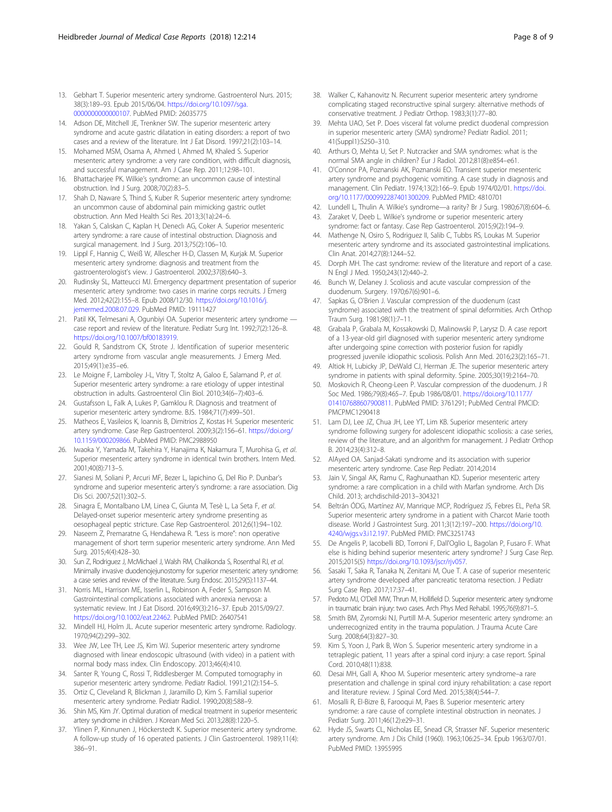- <span id="page-7-0"></span>13. Gebhart T. Superior mesenteric artery syndrome. Gastroenterol Nurs. 2015; 38(3):189–93. Epub 2015/06/04. [https://doi.org/10.1097/sga.](https://doi.org/10.1097/sga.0000000000000107) [0000000000000107](https://doi.org/10.1097/sga.0000000000000107). PubMed PMID: 26035775
- 14. Adson DE, Mitchell JE, Trenkner SW. The superior mesenteric artery syndrome and acute gastric dilatation in eating disorders: a report of two cases and a review of the literature. Int J Eat Disord. 1997;21(2):103–14.
- Mohamed MSM, Osama A, Ahmed I, Ahmed M, Khaled S. Superior mesenteric artery syndrome: a very rare condition, with difficult diagnosis, and successful management. Am J Case Rep. 2011;12:98–101.
- 16. Bhattacharjee PK. Wilkie's syndrome: an uncommon cause of intestinal obstruction. Ind J Surg. 2008;70(2):83–5.
- 17. Shah D, Naware S, Thind S, Kuber R. Superior mesenteric artery syndrome: an uncommon cause of abdominal pain mimicking gastric outlet obstruction. Ann Med Health Sci Res. 2013;3(1a):24–6.
- 18. Yakan S, Calıskan C, Kaplan H, Deneclı AG, Coker A. Superior mesenteric artery syndrome: a rare cause of intestinal obstruction. Diagnosis and surgical management. Ind J Surg. 2013;75(2):106–10.
- 19. Lippl F, Hannig C, Weiß W, Allescher H-D, Classen M, Kurjak M. Superior mesenteric artery syndrome: diagnosis and treatment from the gastroenterologist's view. J Gastroenterol. 2002;37(8):640–3.
- 20. Rudinsky SL, Matteucci MJ. Emergency department presentation of superior mesenteric artery syndrome: two cases in marine corps recruits. J Emerg Med. 2012;42(2):155–8. Epub 2008/12/30. [https://doi.org/10.1016/j.](https://doi.org/10.1016/j.jemermed.2008.07.029) [jemermed.2008.07.029](https://doi.org/10.1016/j.jemermed.2008.07.029). PubMed PMID: 19111427
- 21. Patil KK, Telmesani A, Ogunbiyi OA. Superior mesenteric artery syndrome case report and review of the literature. Pediatr Surg Int. 1992;7(2):126–8. [https://doi.org/10.1007/bf00183919.](https://doi.org/10.1007/bf00183919)
- 22. Gould R, Sandstrom CK, Strote J. Identification of superior mesenteric artery syndrome from vascular angle measurements. J Emerg Med. 2015;49(1):e35–e6.
- 23. Le Moigne F, Lamboley J-L, Vitry T, Stoltz A, Galoo E, Salamand P, et al. Superior mesenteric artery syndrome: a rare etiology of upper intestinal obstruction in adults. Gastroenterol Clin Biol. 2010;34(6–7):403–6.
- 24. Gustafsson L, Falk A, Lukes P, Gamklou R. Diagnosis and treatment of superior mesenteric artery syndrome. BJS. 1984;71(7):499–501.
- 25. Matheos E, Vasileios K, Ioannis B, Dimitrios Z, Kostas H. Superior mesenteric artery syndrome. Case Rep Gastroenterol. 2009;3(2):156–61. [https://doi.org/](https://doi.org/10.1159/000209866) [10.1159/000209866.](https://doi.org/10.1159/000209866) PubMed PMID: PMC2988950
- 26. Iwaoka Y, Yamada M, Takehira Y, Hanajima K, Nakamura T, Murohisa G, et al. Superior mesenteric artery syndrome in identical twin brothers. Intern Med. 2001;40(8):713–5.
- 27. Sianesi M, Soliani P, Arcuri MF, Bezer L, Iapichino G, Del Rio P. Dunbar's syndrome and superior mesenteric artery's syndrome: a rare association. Dig Dis Sci. 2007;52(1):302–5.
- 28. Sinagra E, Montalbano LM, Linea C, Giunta M, Tesè L, La Seta F, et al. Delayed-onset superior mesenteric artery syndrome presenting as oesophageal peptic stricture. Case Rep Gastroenterol. 2012;6(1):94–102.
- 29. Naseem Z, Premaratne G, Hendahewa R. "Less is more": non operative management of short term superior mesenteric artery syndrome. Ann Med Surg. 2015;4(4):428–30.
- 30. Sun Z, Rodriguez J, McMichael J, Walsh RM, Chalikonda S, Rosenthal RJ, et al. Minimally invasive duodenojejunostomy for superior mesenteric artery syndrome: a case series and review of the literature. Surg Endosc. 2015;29(5):1137–44.
- 31. Norris ML, Harrison ME, Isserlin L, Robinson A, Feder S, Sampson M. Gastrointestinal complications associated with anorexia nervosa: a systematic review. Int J Eat Disord. 2016;49(3):216–37. Epub 2015/09/27. [https://doi.org/10.1002/eat.22462.](https://doi.org/10.1002/eat.22462) PubMed PMID: 26407541
- 32. Mindell HJ, Holm JL. Acute superior mesenteric artery syndrome. Radiology. 1970;94(2):299–302.
- 33. Wee JW, Lee TH, Lee JS, Kim WJ. Superior mesenteric artery syndrome diagnosed with linear endoscopic ultrasound (with video) in a patient with normal body mass index. Clin Endoscopy. 2013;46(4):410.
- 34. Santer R, Young C, Rossi T, Riddlesberger M. Computed tomography in superior mesenteric artery syndrome. Pediatr Radiol. 1991;21(2):154–5.
- 35. Ortiz C, Cleveland R, Blickman J, Jaramillo D, Kim S. Familial superior mesenteric artery syndrome. Pediatr Radiol. 1990;20(8):588–9.
- 36. Shin MS, Kim JY. Optimal duration of medical treatment in superior mesenteric artery syndrome in children. J Korean Med Sci. 2013;28(8):1220–5.
- 37. Ylinen P, Kinnunen J, Höckerstedt K. Superior mesenteric artery syndrome. A follow-up study of 16 operated patients. J Clin Gastroenterol. 1989;11(4): 386–91.
- 38. Walker C, Kahanovitz N. Recurrent superior mesenteric artery syndrome complicating staged reconstructive spinal surgery: alternative methods of conservative treatment. J Pediatr Orthop. 1983;3(1):77–80.
- 39. Mehta UAO, Set P. Does visceral fat volume predict duodenal compression in superior mesenteric artery (SMA) syndrome? Pediatr Radiol. 2011; 41(Suppl1):S250–310.
- 40. Arthurs O, Mehta U, Set P. Nutcracker and SMA syndromes: what is the normal SMA angle in children? Eur J Radiol. 2012;81(8):e854–e61.
- 41. O'Connor PA, Poznanski AK, Poznanski EO. Transient superior mesenteric artery syndrome and psychogenic vomiting. A case study in diagnosis and management. Clin Pediatr. 1974;13(2):166–9. Epub 1974/02/01. [https://doi.](https://doi.org/10.1177/000992287401300209) [org/10.1177/000992287401300209](https://doi.org/10.1177/000992287401300209). PubMed PMID: 4810701
- 42. Lundell L, Thulin A. Wilkie's syndrome—a rarity? Br J Surg. 1980;67(8):604–6.
- 43. Zaraket V, Deeb L. Wilkie's syndrome or superior mesenteric artery syndrome: fact or fantasy. Case Rep Gastroenterol. 2015;9(2):194–9.
- 44. Mathenge N, Osiro S, Rodriguez II, Salib C, Tubbs RS, Loukas M. Superior mesenteric artery syndrome and its associated gastrointestinal implications. Clin Anat. 2014;27(8):1244–52.
- 45. Dorph MH. The cast syndrome: review of the literature and report of a case. N Engl J Med. 1950;243(12):440–2.
- 46. Bunch W, Delaney J. Scoliosis and acute vascular compression of the duodenum. Surgery. 1970;67(6):901–6.
- 47. Sapkas G, O'Brien J. Vascular compression of the duodenum (cast syndrome) associated with the treatment of spinal deformities. Arch Orthop Traum Surg. 1981;98(1):7–11.
- 48. Grabala P, Grabala M, Kossakowski D, Malinowski P, Larysz D. A case report of a 13-year-old girl diagnosed with superior mesenteric artery syndrome after undergoing spine correction with posterior fusion for rapidly progressed juvenile idiopathic scoliosis. Polish Ann Med. 2016;23(2):165–71.
- 49. Altiok H, Lubicky JP, DeWald CJ, Herman JE. The superior mesenteric artery syndrome in patients with spinal deformity. Spine. 2005;30(19):2164–70.
- 50. Moskovich R, Cheong-Leen P. Vascular compression of the duodenum. J R Soc Med. 1986;79(8):465–7. Epub 1986/08/01. [https://doi.org/10.1177/](https://doi.org/10.1177/014107688607900811) [014107688607900811](https://doi.org/10.1177/014107688607900811). PubMed PMID: 3761291; PubMed Central PMCID: PMCPMC1290418
- 51. Lam DJ, Lee JZ, Chua JH, Lee YT, Lim KB. Superior mesenteric artery syndrome following surgery for adolescent idiopathic scoliosis: a case series, review of the literature, and an algorithm for management. J Pediatr Orthop B. 2014;23(4):312–8.
- 52. AlAyed OA. Sanjad-Sakati syndrome and its association with superior mesenteric artery syndrome. Case Rep Pediatr. 2014;2014
- 53. Jain V, Singal AK, Ramu C, Raghunaathan KD. Superior mesenteric artery syndrome: a rare complication in a child with Marfan syndrome. Arch Dis Child. 2013; archdischild-2013–304321
- 54. Beltrán ÓDG, Martínez AV, Manrique MCP, Rodríguez JS, Febres EL, Peña SR. Superior mesenteric artery syndrome in a patient with Charcot Marie tooth disease. World J Gastrointest Surg. 2011;3(12):197–200. [https://doi.org/10.](https://doi.org/10.4240/wjgs.v3.i12.197) [4240/wjgs.v3.i12.197.](https://doi.org/10.4240/wjgs.v3.i12.197) PubMed PMID: PMC3251743
- 55. De Angelis P, Iacobelli BD, Torroni F, Dall'Oglio L, Bagolan P, Fusaro F. What else is hiding behind superior mesenteric artery syndrome? J Surg Case Rep. 2015;2015(5) <https://doi.org/10.1093/jscr/rjv057>.
- 56. Sasaki T, Saka R, Tanaka N, Zenitani M, Oue T. A case of superior mesenteric artery syndrome developed after pancreatic teratoma resection. J Pediatr Surg Case Rep. 2017;17:37–41.
- 57. Pedoto MJ, O'Dell MW, Thrun M, Hollifield D. Superior mesenteric artery syndrome in traumatic brain injury: two cases. Arch Phys Med Rehabil. 1995;76(9):871–5.
- 58. Smith BM, Zyromski NJ, Purtill M-A. Superior mesenteric artery syndrome: an underrecognized entity in the trauma population. J Trauma Acute Care Surg. 2008;64(3):827–30.
- 59. Kim S, Yoon J, Park B, Won S. Superior mesenteric artery syndrome in a tetraplegic patient, 11 years after a spinal cord injury: a case report. Spinal Cord. 2010;48(11):838.
- 60. Desai MH, Gall A, Khoo M. Superior mesenteric artery syndrome–a rare presentation and challenge in spinal cord injury rehabilitation: a case report and literature review. J Spinal Cord Med. 2015;38(4):544–7.
- 61. Mosalli R, El-Bizre B, Farooqui M, Paes B. Superior mesenteric artery syndrome: a rare cause of complete intestinal obstruction in neonates. J Pediatr Surg. 2011;46(12):e29–31.
- 62. Hyde JS, Swarts CL, Nicholas EE, Snead CR, Strasser NF. Superior mesenteric artery syndrome. Am J Dis Child (1960). 1963;106:25–34. Epub 1963/07/01. PubMed PMID: 13955995